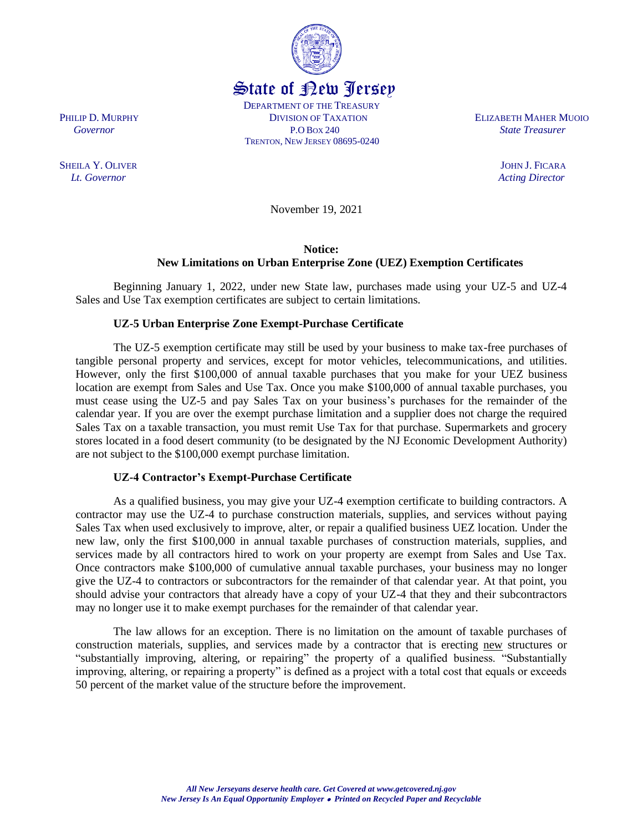**SHEILA Y. OLIVER** JOHN J. FICARA

November 19, 2021

## **Notice: New Limitations on Urban Enterprise Zone (UEZ) Exemption Certificates**

Beginning January 1, 2022, under new State law, purchases made using your UZ-5 and UZ-4 Sales and Use Tax exemption certificates are subject to certain limitations.

## **UZ-5 Urban Enterprise Zone Exempt-Purchase Certificate**

The UZ-5 exemption certificate may still be used by your business to make tax-free purchases of tangible personal property and services, except for motor vehicles, telecommunications, and utilities. However, only the first \$100,000 of annual taxable purchases that you make for your UEZ business location are exempt from Sales and Use Tax. Once you make \$100,000 of annual taxable purchases, you must cease using the UZ-5 and pay Sales Tax on your business's purchases for the remainder of the calendar year. If you are over the exempt purchase limitation and a supplier does not charge the required Sales Tax on a taxable transaction, you must remit Use Tax for that purchase. Supermarkets and grocery stores located in a food desert community (to be designated by the NJ Economic Development Authority) are not subject to the \$100,000 exempt purchase limitation.

## **UZ-4 Contractor's Exempt-Purchase Certificate**

As a qualified business, you may give your UZ-4 exemption certificate to building contractors. A contractor may use the UZ-4 to purchase construction materials, supplies, and services without paying Sales Tax when used exclusively to improve, alter, or repair a qualified business UEZ location. Under the new law, only the first \$100,000 in annual taxable purchases of construction materials, supplies, and services made by all contractors hired to work on your property are exempt from Sales and Use Tax. Once contractors make \$100,000 of cumulative annual taxable purchases, your business may no longer give the UZ-4 to contractors or subcontractors for the remainder of that calendar year. At that point, you should advise your contractors that already have a copy of your UZ-4 that they and their subcontractors may no longer use it to make exempt purchases for the remainder of that calendar year.

The law allows for an exception. There is no limitation on the amount of taxable purchases of construction materials, supplies, and services made by a contractor that is erecting new structures or "substantially improving, altering, or repairing" the property of a qualified business. "Substantially improving, altering, or repairing a property" is defined as a project with a total cost that equals or exceeds 50 percent of the market value of the structure before the improvement.



State of New Jersey DEPARTMENT OF THE TREASURY

TRENTON, NEW JERSEY 08695-0240

 PHILIP D. MURPHY DIVISION OF TAXATION ELIZABETH MAHER MUOIO  *Governor* P.O BOX 240 *State Treasurer*

 *Lt. Governor Acting Director*